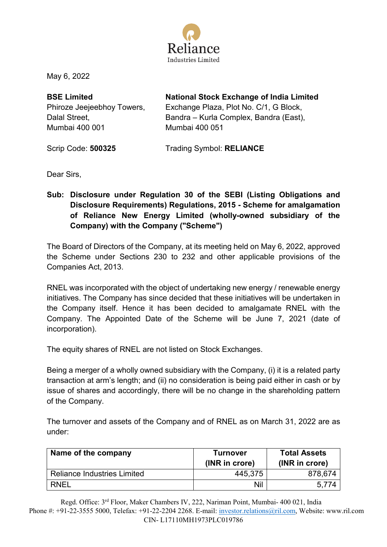

May 6, 2022

**BSE Limited**  Phiroze Jeejeebhoy Towers, Dalal Street, Mumbai 400 001

**National Stock Exchange of India Limited** 

Exchange Plaza, Plot No. C/1, G Block, Bandra – Kurla Complex, Bandra (East), Mumbai 400 051

Scrip Code: **500325** 

Trading Symbol: **RELIANCE** 

Dear Sirs,

**Sub: Disclosure under Regulation 30 of the SEBI (Listing Obligations and Disclosure Requirements) Regulations, 2015 - Scheme for amalgamation of Reliance New Energy Limited (wholly-owned subsidiary of the Company) with the Company ("Scheme")** 

The Board of Directors of the Company, at its meeting held on May 6, 2022, approved the Scheme under Sections 230 to 232 and other applicable provisions of the Companies Act, 2013.

RNEL was incorporated with the object of undertaking new energy / renewable energy initiatives. The Company has since decided that these initiatives will be undertaken in the Company itself. Hence it has been decided to amalgamate RNEL with the Company. The Appointed Date of the Scheme will be June 7, 2021 (date of incorporation).

The equity shares of RNEL are not listed on Stock Exchanges.

Being a merger of a wholly owned subsidiary with the Company, (i) it is a related party transaction at arm's length; and (ii) no consideration is being paid either in cash or by issue of shares and accordingly, there will be no change in the shareholding pattern of the Company.

The turnover and assets of the Company and of RNEL as on March 31, 2022 are as under:

| Name of the company                | <b>Turnover</b><br>(INR in crore) | <b>Total Assets</b><br>(INR in crore) |
|------------------------------------|-----------------------------------|---------------------------------------|
| <b>Reliance Industries Limited</b> | 445,375                           | 878,674                               |
| <b>RNEL</b>                        | Nil                               | 5.774                                 |